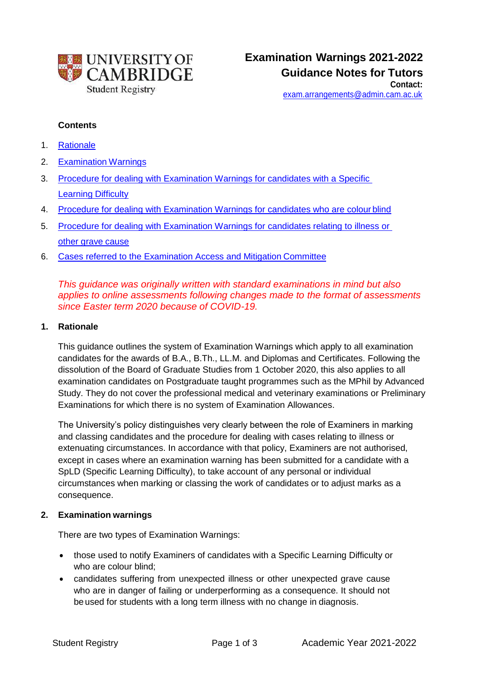

[exam.arrangements@admin.cam.ac.uk](mailto:exam.arrangements@admin.cam.ac.uk)

#### **Contents**

- 1. Rationale
- 2. Examination Warnings
- 3. Procedure for dealing with Examination Warnings for candidates with a Specific Learning Difficulty
- 4. Procedure for dealing with Examination Warnings for candidates who are colour blind
- 5. Procedure for dealing with Examination Warnings for candidates relating to illness or other grave cause
- 6. Cases referred to the Examination Access and Mitigation Committee

*This guidance was originally written with standard examinations in mind but also applies to online assessments following changes made to the format of assessments since Easter term 2020 because of COVID-19.* 

### **1. Rationale**

This guidance outlines the system of Examination Warnings which apply to all examination candidates for the awards of B.A., B.Th., LL.M. and Diplomas and Certificates. Following the dissolution of the Board of Graduate Studies from 1 October 2020, this also applies to all examination candidates on Postgraduate taught programmes such as the MPhil by Advanced Study. They do not cover the professional medical and veterinary examinations or Preliminary Examinations for which there is no system of Examination Allowances.

The University's policy distinguishes very clearly between the role of Examiners in marking and classing candidates and the procedure for dealing with cases relating to illness or extenuating circumstances. In accordance with that policy, Examiners are not authorised, except in cases where an examination warning has been submitted for a candidate with a SpLD (Specific Learning Difficulty), to take account of any personal or individual circumstances when marking or classing the work of candidates or to adjust marks as a consequence.

### **2. Examination warnings**

There are two types of Examination Warnings:

- those used to notify Examiners of candidates with a Specific Learning Difficulty or who are colour blind;
- candidates suffering from unexpected illness or other unexpected grave cause who are in danger of failing or underperforming as a consequence. It should not be used for students with a long term illness with no change in diagnosis.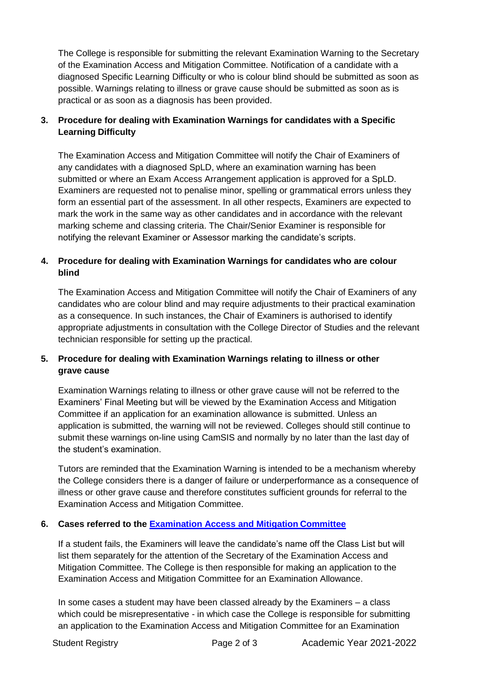The College is responsible for submitting the relevant Examination Warning to the Secretary of the Examination Access and Mitigation Committee. Notification of a candidate with a diagnosed Specific Learning Difficulty or who is colour blind should be submitted as soon as possible. Warnings relating to illness or grave cause should be submitted as soon as is practical or as soon as a diagnosis has been provided.

## **3. Procedure for dealing with Examination Warnings for candidates with a Specific Learning Difficulty**

The Examination Access and Mitigation Committee will notify the Chair of Examiners of any candidates with a diagnosed SpLD, where an examination warning has been submitted or where an Exam Access Arrangement application is approved for a SpLD. Examiners are requested not to penalise minor, spelling or grammatical errors unless they form an essential part of the assessment. In all other respects, Examiners are expected to mark the work in the same way as other candidates and in accordance with the relevant marking scheme and classing criteria. The Chair/Senior Examiner is responsible for notifying the relevant Examiner or Assessor marking the candidate's scripts.

## **4. Procedure for dealing with Examination Warnings for candidates who are colour blind**

The Examination Access and Mitigation Committee will notify the Chair of Examiners of any candidates who are colour blind and may require adjustments to their practical examination as a consequence. In such instances, the Chair of Examiners is authorised to identify appropriate adjustments in consultation with the College Director of Studies and the relevant technician responsible for setting up the practical.

# **5. Procedure for dealing with Examination Warnings relating to illness or other grave cause**

Examination Warnings relating to illness or other grave cause will not be referred to the Examiners' Final Meeting but will be viewed by the Examination Access and Mitigation Committee if an application for an examination allowance is submitted. Unless an application is submitted, the warning will not be reviewed. Colleges should still continue to submit these warnings on-line using CamSIS and normally by no later than the last day of the student's examination.

Tutors are reminded that the Examination Warning is intended to be a mechanism whereby the College considers there is a danger of failure or underperformance as a consequence of illness or other grave cause and therefore constitutes sufficient grounds for referral to the Examination Access and Mitigation Committee.

### **6. Cases referred to the [Examination Access and Mitigation](https://www.student-registry.admin.cam.ac.uk/about-us/EAMC) Committee**

If a student fails, the Examiners will leave the candidate's name off the Class List but will list them separately for the attention of the Secretary of the Examination Access and Mitigation Committee. The College is then responsible for making an application to the Examination Access and Mitigation Committee for an Examination Allowance.

In some cases a student may have been classed already by the Examiners – a class which could be misrepresentative - in which case the College is responsible for submitting an application to the Examination Access and Mitigation Committee for an Examination